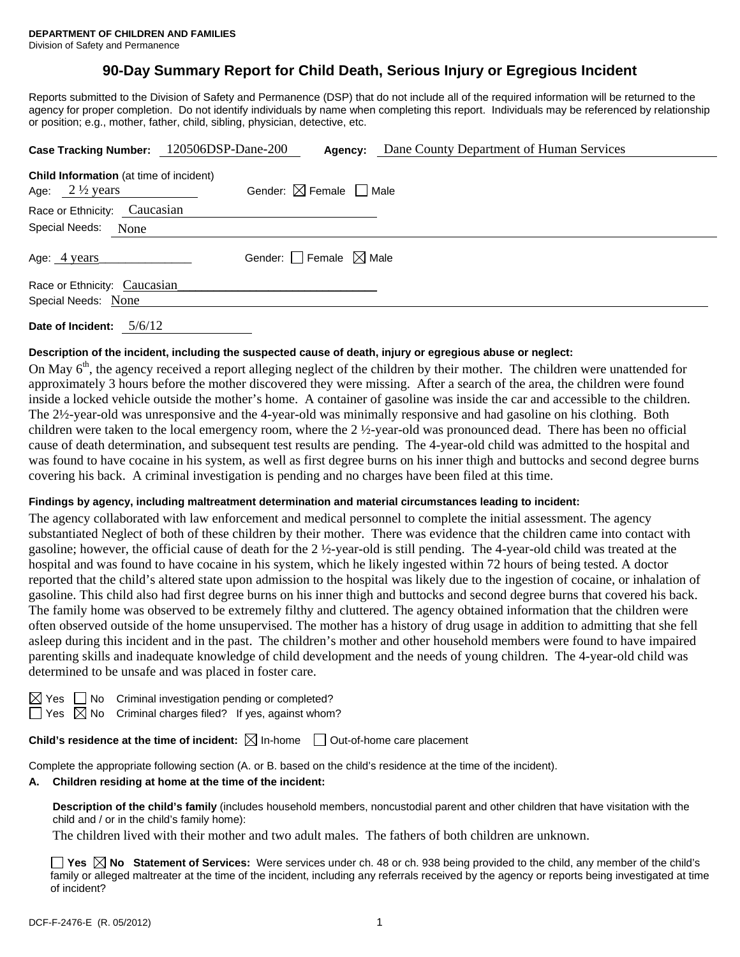# **90-Day Summary Report for Child Death, Serious Injury or Egregious Incident**

Reports submitted to the Division of Safety and Permanence (DSP) that do not include all of the required information will be returned to the agency for proper completion. Do not identify individuals by name when completing this report. Individuals may be referenced by relationship or position; e.g., mother, father, child, sibling, physician, detective, etc.

|                                                                             | Case Tracking Number: 120506DSP-Dane-200<br>Dane County Department of Human Services<br>Agency: |
|-----------------------------------------------------------------------------|-------------------------------------------------------------------------------------------------|
| <b>Child Information</b> (at time of incident)<br>Age: $2\frac{1}{2}$ years | Gender: $\boxtimes$ Female $\Box$ Male                                                          |
| Race or Ethnicity: Caucasian                                                |                                                                                                 |
| Special Needs: None                                                         |                                                                                                 |
| Age: 4 years                                                                | Gender: $\Box$ Female $\boxtimes$ Male                                                          |
| Race or Ethnicity: Caucasian                                                |                                                                                                 |
| Special Needs: None                                                         |                                                                                                 |
|                                                                             |                                                                                                 |

**Date of Incident:** 5/6/12

## **Description of the incident, including the suspected cause of death, injury or egregious abuse or neglect:**

On May  $6<sup>th</sup>$ , the agency received a report alleging neglect of the children by their mother. The children were unattended for approximately 3 hours before the mother discovered they were missing. After a search of the area, the children were found inside a locked vehicle outside the mother's home. A container of gasoline was inside the car and accessible to the children. The 2½-year-old was unresponsive and the 4-year-old was minimally responsive and had gasoline on his clothing. Both children were taken to the local emergency room, where the  $2 \frac{1}{2}$ -year-old was pronounced dead. There has been no official cause of death determination, and subsequent test results are pending. The 4-year-old child was admitted to the hospital and was found to have cocaine in his system, as well as first degree burns on his inner thigh and buttocks and second degree burns covering his back. A criminal investigation is pending and no charges have been filed at this time.

#### **Findings by agency, including maltreatment determination and material circumstances leading to incident:**

The agency collaborated with law enforcement and medical personnel to complete the initial assessment. The agency substantiated Neglect of both of these children by their mother. There was evidence that the children came into contact with gasoline; however, the official cause of death for the 2 ½-year-old is still pending. The 4-year-old child was treated at the hospital and was found to have cocaine in his system, which he likely ingested within 72 hours of being tested. A doctor reported that the child's altered state upon admission to the hospital was likely due to the ingestion of cocaine, or inhalation of gasoline. This child also had first degree burns on his inner thigh and buttocks and second degree burns that covered his back. The family home was observed to be extremely filthy and cluttered. The agency obtained information that the children were often observed outside of the home unsupervised. The mother has a history of drug usage in addition to admitting that she fell asleep during this incident and in the past. The children's mother and other household members were found to have impaired parenting skills and inadequate knowledge of child development and the needs of young children. The 4-year-old child was determined to be unsafe and was placed in foster care.

 $\Box$  No Criminal investigation pending or completed?

 $\Box$  Yes  $\boxtimes$  No Criminal charges filed? If yes, against whom?

**Child's residence at the time of incident:**  $\boxtimes$  In-home  $\Box$  Out-of-home care placement

Complete the appropriate following section (A. or B. based on the child's residence at the time of the incident).

#### **A. Children residing at home at the time of the incident:**

**Description of the child's family** (includes household members, noncustodial parent and other children that have visitation with the child and / or in the child's family home):

The children lived with their mother and two adult males. The fathers of both children are unknown.

■ Yes **No** Statement of Services: Were services under ch. 48 or ch. 938 being provided to the child, any member of the child's family or alleged maltreater at the time of the incident, including any referrals received by the agency or reports being investigated at time of incident?